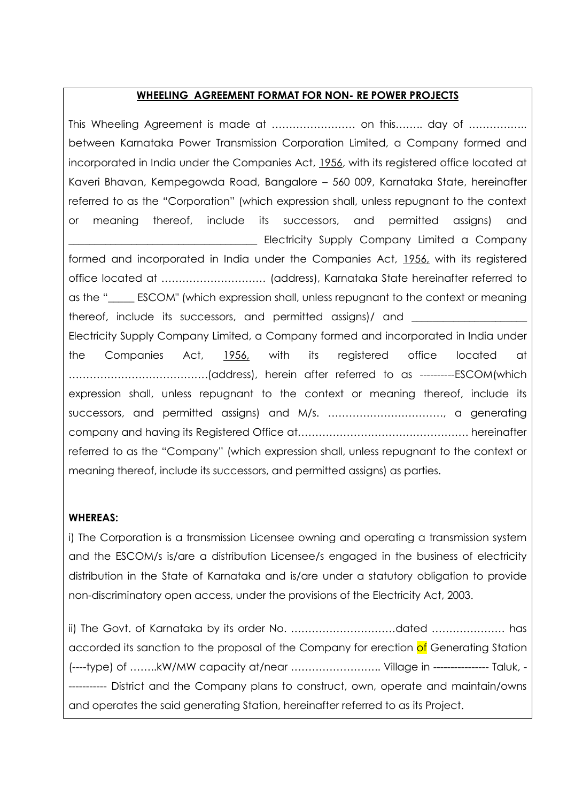#### **WHEELING AGREEMENT FORMAT FOR NON- RE POWER PROJECTS**

This Wheeling Agreement is made at …………………… on this…….. day of …………….. between Karnataka Power Transmission Corporation Limited, a Company formed and incorporated in India under the Companies Act, 1956, with its registered office located at Kaveri Bhavan, Kempegowda Road, Bangalore – 560 009, Karnataka State, hereinafter referred to as the "Corporation" (which expression shall, unless repugnant to the context or meaning thereof, include its successors, and permitted assigns) and Electricity Supply Company Limited a Company formed and incorporated in India under the Companies Act, 1956, with its registered office located at ………………………… (address), Karnataka State hereinafter referred to as the "\_\_\_\_\_ ESCOM" (which expression shall, unless repugnant to the context or meaning thereof, include its successors, and permitted assigns)/ and Electricity Supply Company Limited, a Company formed and incorporated in India under the Companies Act, 1956, with its registered office located at ………………………………….(address), herein after referred to as ----------ESCOM(which expression shall, unless repugnant to the context or meaning thereof, include its successors, and permitted assigns) and M/s. ……………………………, a generating company and having its Registered Office at…………………………………………. hereinafter referred to as the "Company" (which expression shall, unless repugnant to the context or meaning thereof, include its successors, and permitted assigns) as parties.

#### **WHEREAS:**

i) The Corporation is a transmission Licensee owning and operating a transmission system and the ESCOM/s is/are a distribution Licensee/s engaged in the business of electricity distribution in the State of Karnataka and is*/*are under a statutory obligation to provide non-discriminatory open access, under the provisions of the Electricity Act, 2003.

ii) The Govt. of Karnataka by its order No. …………………………dated ………………… has accorded its sanction to the proposal of the Company for erection of Generating Station (----type) of ……..kW/MW capacity at/near …………………….. Village in ---------------- Taluk, - ----------- District and the Company plans to construct, own, operate and maintain/owns and operates the said generating Station, hereinafter referred to as its Project.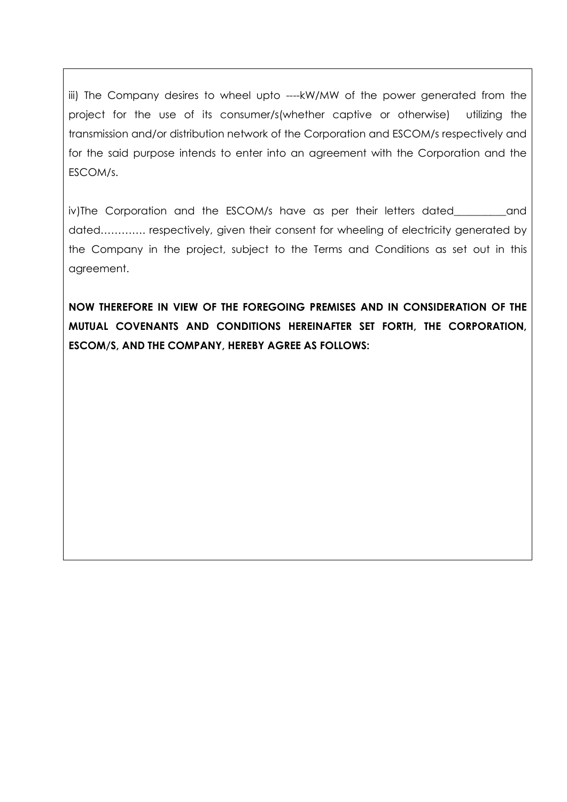iii) The Company desires to wheel upto ----kW/MW of the power generated from the project for the use of its consumer/s(whether captive or otherwise) utilizing the transmission and/or distribution network of the Corporation and ESCOM/s respectively and for the said purpose intends to enter into an agreement with the Corporation and the ESCOM/s.

iv)The Corporation and the ESCOM/s have as per their letters dated and dated…………. respectively, given their consent for wheeling of electricity generated by the Company in the project, subject to the Terms and Conditions as set out in this agreement.

**NOW THEREFORE IN VIEW OF THE FOREGOING PREMISES AND IN CONSIDERATION OF THE MUTUAL COVENANTS AND CONDITIONS HEREINAFTER SET FORTH, THE CORPORATION, ESCOM/S, AND THE COMPANY, HEREBY AGREE AS FOLLOWS:**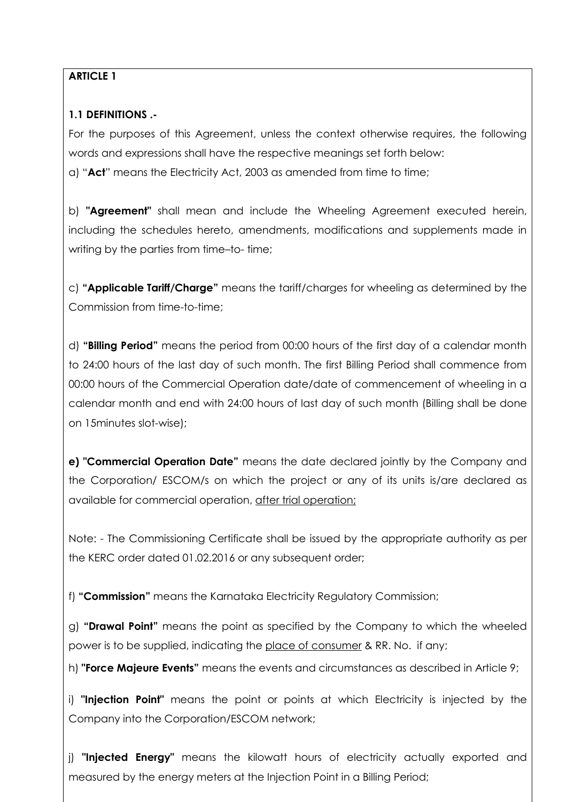# **ARTICLE 1**

# **1.1 DEFINITIONS .-**

For the purposes of this Agreement, unless the context otherwise requires, the following words and expressions shall have the respective meanings set forth below: a) "**Act**" means the Electricity Act, 2003 as amended from time to time;

b) **"Agreement"** shall mean and include the Wheeling Agreement executed herein, including the schedules hereto, amendments, modifications and supplements made in writing by the parties from time–to- time;

c) **"Applicable Tariff/Charge"** means the tariff/charges for wheeling as determined by the Commission from time-to-time;

d) **"Billing Period"** means the period from 00:00 hours of the first day of a calendar month to 24:00 hours of the last day of such month. The first Billing Period shall commence from 00:00 hours of the Commercial Operation date/date of commencement of wheeling in a calendar month and end with 24:00 hours of last day of such month (Billing shall be done on 15minutes slot-wise);

**e) "Commercial Operation Date"** means the date declared jointly by the Company and the Corporation/ ESCOM/s on which the project or any of its units is/are declared as available for commercial operation, after trial operation;

Note: - The Commissioning Certificate shall be issued by the appropriate authority as per the KERC order dated 01.02.2016 or any subsequent order;

f) **"Commission"** means the Karnataka Electricity Regulatory Commission;

g) **"Drawal Point"** means the point as specified by the Company to which the wheeled power is to be supplied, indicating the place of consumer & RR. No. if any;

h) **"Force Majeure Events"** means the events and circumstances as described in Article 9;

i) **"Injection Point"** means the point or points at which Electricity is injected by the Company into the Corporation/ESCOM network;

j) **"Injected Energy"** means the kilowatt hours of electricity actually exported and measured by the energy meters at the Injection Point in a Billing Period;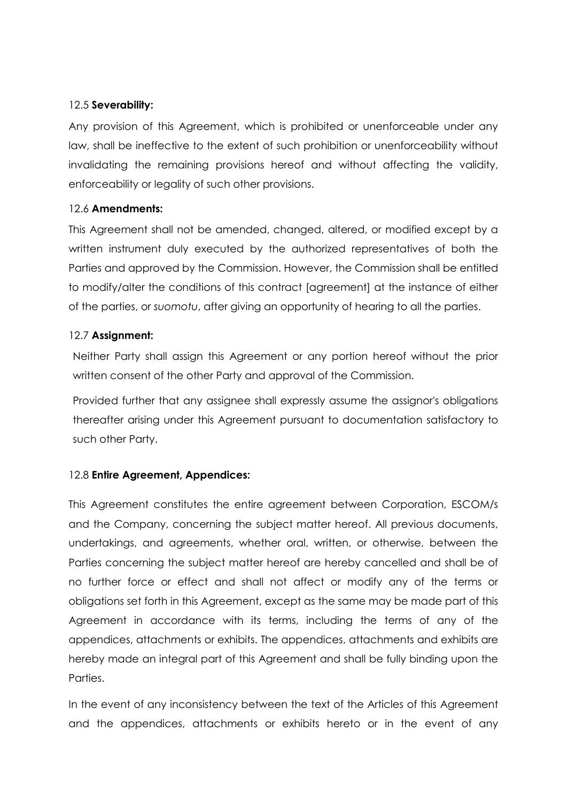#### 12.5 **Severability:**

Any provision of this Agreement, which is prohibited or unenforceable under any law, shall be ineffective to the extent of such prohibition or unenforceability without invalidating the remaining provisions hereof and without affecting the validity, enforceability or legality of such other provisions.

#### 12.6 **Amendments:**

This Agreement shall not be amended, changed, altered, or modified except by a written instrument duly executed by the authorized representatives of both the Parties and approved by the Commission. However, the Commission shall be entitled to modify/alter the conditions of this contract [agreement] at the instance of either of the parties, or *suomotu*, after giving an opportunity of hearing to all the parties.

#### 12.7 **Assignment:**

Neither Party shall assign this Agreement or any portion hereof without the prior written consent of the other Party and approval of the Commission.

Provided further that any assignee shall expressly assume the assignor's obligations thereafter arising under this Agreement pursuant to documentation satisfactory to such other Party.

# 12.8 **Entire Agreement, Appendices:**

This Agreement constitutes the entire agreement between Corporation, ESCOM/s and the Company, concerning the subject matter hereof. All previous documents, undertakings, and agreements, whether oral, written, or otherwise, between the Parties concerning the subject matter hereof are hereby cancelled and shall be of no further force or effect and shall not affect or modify any of the terms or obligations set forth in this Agreement, except as the same may be made part of this Agreement in accordance with its terms, including the terms of any of the appendices, attachments or exhibits. The appendices, attachments and exhibits are hereby made an integral part of this Agreement and shall be fully binding upon the Parties.

In the event of any inconsistency between the text of the Articles of this Agreement and the appendices, attachments or exhibits hereto or in the event of any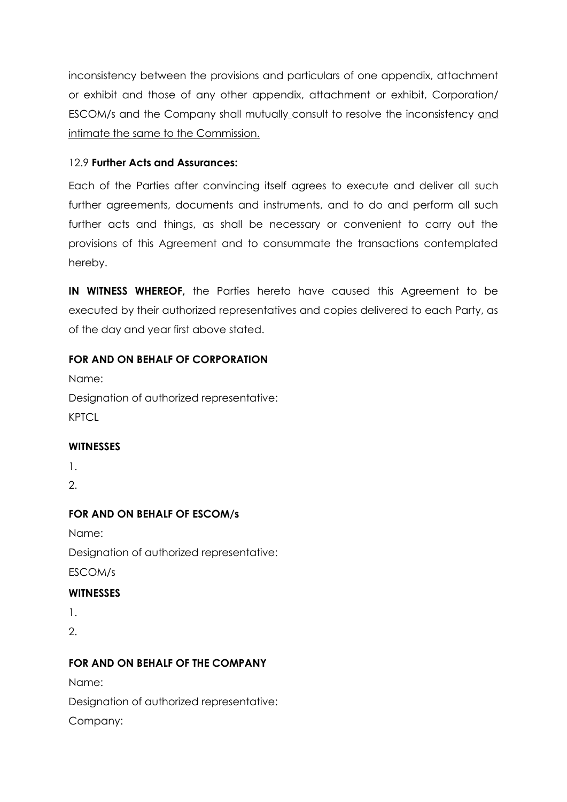inconsistency between the provisions and particulars of one appendix, attachment or exhibit and those of any other appendix, attachment or exhibit, Corporation/ ESCOM/s and the Company shall mutually consult to resolve the inconsistency and intimate the same to the Commission.

#### 12.9 **Further Acts and Assurances:**

Each of the Parties after convincing itself agrees to execute and deliver all such further agreements, documents and instruments, and to do and perform all such further acts and things, as shall be necessary or convenient to carry out the provisions of this Agreement and to consummate the transactions contemplated hereby.

**IN WITNESS WHEREOF,** the Parties hereto have caused this Agreement to be executed by their authorized representatives and copies delivered to each Party, as of the day and year first above stated.

#### **FOR AND ON BEHALF OF CORPORATION**

Name:

Designation of authorized representative: **KPTCL** 

# **WITNESSES**

1.

2.

# **FOR AND ON BEHALF OF ESCOM/s**

Name: Designation of authorized representative: ESCOM/s

# **WITNESSES**

1.

2.

# **FOR AND ON BEHALF OF THE COMPANY**

Name:

Designation of authorized representative:

Company: